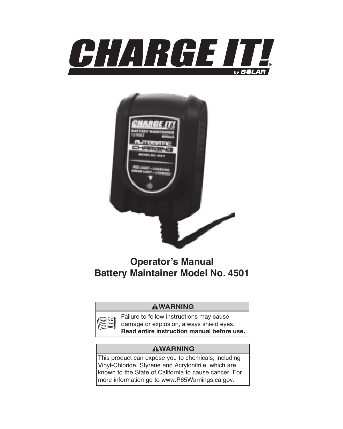



#### **Operator's Manual Battery Maintainer Model No. 4501**

#### **AWARNING**



Failure to follow instructions may cause damage or explosion, always shield eyes. **Read entire instruction manual before use.**

#### **WARNING**

This product can expose you to chemicals, including Vinyl-Chloride, Styrene and Acrylonitrile, which are known to the State of California to cause cancer. For more information go to www.P65Warnings.ca.gov.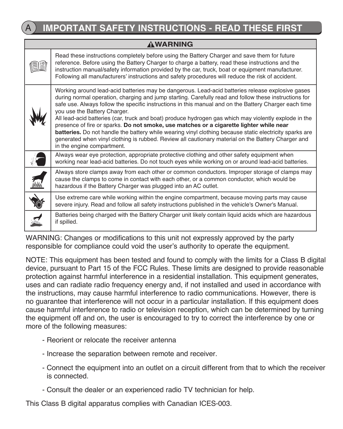#### **IMPORTANT SAFETY INSTRUCTIONS - READ THESE FIRST**

| <b>AWARNING</b> |                                                                                                                                                                                                                                                                                                                                                                                                                                                                                                                                                                                                                                                                                                                                                                                                       |  |  |  |
|-----------------|-------------------------------------------------------------------------------------------------------------------------------------------------------------------------------------------------------------------------------------------------------------------------------------------------------------------------------------------------------------------------------------------------------------------------------------------------------------------------------------------------------------------------------------------------------------------------------------------------------------------------------------------------------------------------------------------------------------------------------------------------------------------------------------------------------|--|--|--|
|                 | Read these instructions completely before using the Battery Charger and save them for future<br>reference. Before using the Battery Charger to charge a battery, read these instructions and the<br>instruction manual/safety information provided by the car, truck, boat or equipment manufacturer.<br>Following all manufacturers' instructions and safety procedures will reduce the risk of accident.                                                                                                                                                                                                                                                                                                                                                                                            |  |  |  |
|                 | Working around lead-acid batteries may be dangerous. Lead-acid batteries release explosive gases<br>during normal operation, charging and jump starting. Carefully read and follow these instructions for<br>safe use. Always follow the specific instructions in this manual and on the Battery Charger each time<br>you use the Battery Charger.<br>All lead-acid batteries (car, truck and boat) produce hydrogen gas which may violently explode in the<br>presence of fire or sparks. Do not smoke, use matches or a cigarette lighter while near<br>batteries. Do not handle the battery while wearing vinyl clothing because static electricity sparks are<br>generated when vinyl clothing is rubbed. Review all cautionary material on the Battery Charger and<br>in the engine compartment. |  |  |  |
|                 | Always wear eye protection, appropriate protective clothing and other safety equipment when<br>working near lead-acid batteries. Do not touch eyes while working on or around lead-acid batteries.                                                                                                                                                                                                                                                                                                                                                                                                                                                                                                                                                                                                    |  |  |  |
| 孤               | Always store clamps away from each other or common conductors. Improper storage of clamps may<br>cause the clamps to come in contact with each other, or a common conductor, which would be<br>hazardous if the Battery Charger was plugged into an AC outlet.                                                                                                                                                                                                                                                                                                                                                                                                                                                                                                                                        |  |  |  |
|                 | Use extreme care while working within the engine compartment, because moving parts may cause<br>severe injury. Read and follow all safety instructions published in the vehicle's Owner's Manual.                                                                                                                                                                                                                                                                                                                                                                                                                                                                                                                                                                                                     |  |  |  |
|                 | Batteries being charged with the Battery Charger unit likely contain liquid acids which are hazardous<br>if spilled.                                                                                                                                                                                                                                                                                                                                                                                                                                                                                                                                                                                                                                                                                  |  |  |  |

WARNING: Changes or modifications to this unit not expressly approved by the party responsible for compliance could void the user's authority to operate the equipment.

NOTE: This equipment has been tested and found to comply with the limits for a Class B digital device, pursuant to Part 15 of the FCC Rules. These limits are designed to provide reasonable protection against harmful interference in a residential installation. This equipment generates, uses and can radiate radio frequency energy and, if not installed and used in accordance with the instructions, may cause harmful interference to radio communications. However, there is no guarantee that interference will not occur in a particular installation. If this equipment does cause harmful interference to radio or television reception, which can be determined by turning the equipment off and on, the user is encouraged to try to correct the interference by one or more of the following measures:

- Reorient or relocate the receiver antenna
- Increase the separation between remote and receiver.
- Connect the equipment into an outlet on a circuit different from that to which the receiver is connected.
- Consult the dealer or an experienced radio TV technician for help.

This Class B digital apparatus complies with Canadian ICES-003.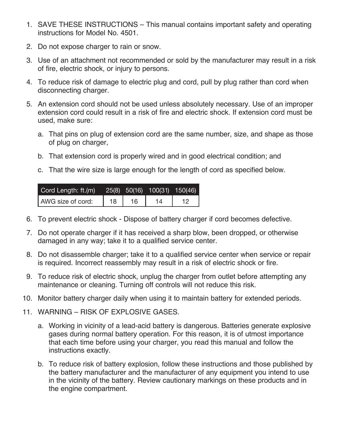- 1. SAVE THESE INSTRUCTIONS This manual contains important safety and operating instructions for Model No. 4501.
- 2. Do not expose charger to rain or snow.
- 3. Use of an attachment not recommended or sold by the manufacturer may result in a risk of fire, electric shock, or injury to persons.
- 4. To reduce risk of damage to electric plug and cord, pull by plug rather than cord when disconnecting charger.
- 5. An extension cord should not be used unless absolutely necessary. Use of an improper extension cord could result in a risk of fire and electric shock. If extension cord must be used, make sure:
	- a. That pins on plug of extension cord are the same number, size, and shape as those of plug on charger,
	- b. That extension cord is properly wired and in good electrical condition; and
	- c. That the wire size is large enough for the length of cord as specified below.

| Cord Length: ft.(m) |    |    | 25(8) 50(16) 100(31) 150(46) |  |
|---------------------|----|----|------------------------------|--|
| AWG size of cord:   | 18 | 16 |                              |  |

- 6. To prevent electric shock Dispose of battery charger if cord becomes defective.
- 7. Do not operate charger if it has received a sharp blow, been dropped, or otherwise damaged in any way; take it to a qualified service center.
- 8. Do not disassemble charger; take it to a qualified service center when service or repair is required. Incorrect reassembly may result in a risk of electric shock or fire.
- 9. To reduce risk of electric shock, unplug the charger from outlet before attempting any maintenance or cleaning. Turning off controls will not reduce this risk.
- 10. Monitor battery charger daily when using it to maintain battery for extended periods.
- 11. WARNING RISK OF EXPLOSIVE GASES.
	- a. Working in vicinity of a lead-acid battery is dangerous. Batteries generate explosive gases during normal battery operation. For this reason, it is of utmost importance that each time before using your charger, you read this manual and follow the instructions exactly.
	- b. To reduce risk of battery explosion, follow these instructions and those published by the battery manufacturer and the manufacturer of any equipment you intend to use in the vicinity of the battery. Review cautionary markings on these products and in the engine compartment.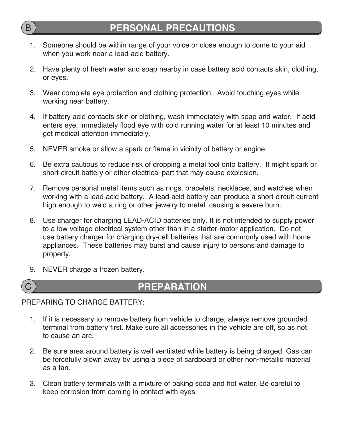## **PERSONAL PRECAUTIONS**

- 1. Someone should be within range of your voice or close enough to come to your aid when you work near a lead-acid battery.
- 2. Have plenty of fresh water and soap nearby in case battery acid contacts skin, clothing, or eyes.
- 3. Wear complete eye protection and clothing protection. Avoid touching eyes while working near battery.
- 4. If battery acid contacts skin or clothing, wash immediately with soap and water. If acid enters eye, immediately flood eye with cold running water for at least 10 minutes and get medical attention immediately.
- 5. NEVER smoke or allow a spark or flame in vicinity of battery or engine.
- 6. Be extra cautious to reduce risk of dropping a metal tool onto battery. It might spark or short-circuit battery or other electrical part that may cause explosion.
- 7. Remove personal metal items such as rings, bracelets, necklaces, and watches when working with a lead-acid battery. A lead-acid battery can produce a short-circuit current high enough to weld a ring or other jewelry to metal, causing a severe burn.
- 8. Use charger for charging LEAD-ACID batteries only. It is not intended to supply power to a low voltage electrical system other than in a starter-motor application. Do not use battery charger for charging dry-cell batteries that are commonly used with home appliances. These batteries may burst and cause injury to persons and damage to property.
- 9. NEVER charge a frozen battery.



#### C **PREPARATION**

#### PREPARING TO CHARGE BATTERY:

- 1. If it is necessary to remove battery from vehicle to charge, always remove grounded terminal from battery first. Make sure all accessories in the vehicle are off, so as not to cause an arc.
- 2. Be sure area around battery is well ventilated while battery is being charged. Gas can be forcefully blown away by using a piece of cardboard or other non-metallic material as a fan.
- 3. Clean battery terminals with a mixture of baking soda and hot water. Be careful to keep corrosion from coming in contact with eyes.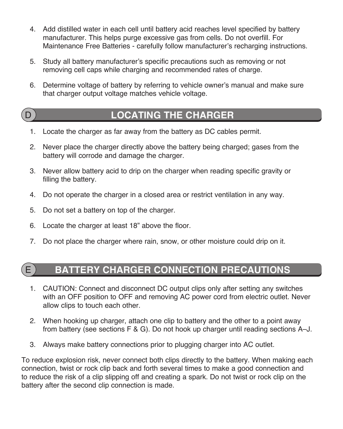- 4. Add distilled water in each cell until battery acid reaches level specified by battery manufacturer. This helps purge excessive gas from cells. Do not overfill. For Maintenance Free Batteries - carefully follow manufacturer's recharging instructions.
- 5. Study all battery manufacturer's specific precautions such as removing or not removing cell caps while charging and recommended rates of charge.
- 6. Determine voltage of battery by referring to vehicle owner's manual and make sure that charger output voltage matches vehicle voltage.
- 

#### **LOCATING THE CHARGER**

- 1. Locate the charger as far away from the battery as DC cables permit.
- 2. Never place the charger directly above the battery being charged; gases from the battery will corrode and damage the charger.
- 3. Never allow battery acid to drip on the charger when reading specific gravity or filling the battery.
- 4. Do not operate the charger in a closed area or restrict ventilation in any way.
- 5. Do not set a battery on top of the charger.
- 6. Locate the charger at least 18" above the floor.
- 7. Do not place the charger where rain, snow, or other moisture could drip on it.

## E **BATTERY CHARGER CONNECTION PRECAUTIONS**

- 1. CAUTION: Connect and disconnect DC output clips only after setting any switches with an OFF position to OFF and removing AC power cord from electric outlet. Never allow clips to touch each other.
- 2. When hooking up charger, attach one clip to battery and the other to a point away from battery (see sections F & G). Do not hook up charger until reading sections A–J.
- 3. Always make battery connections prior to plugging charger into AC outlet.

To reduce explosion risk, never connect both clips directly to the battery. When making each connection, twist or rock clip back and forth several times to make a good connection and to reduce the risk of a clip slipping off and creating a spark. Do not twist or rock clip on the battery after the second clip connection is made.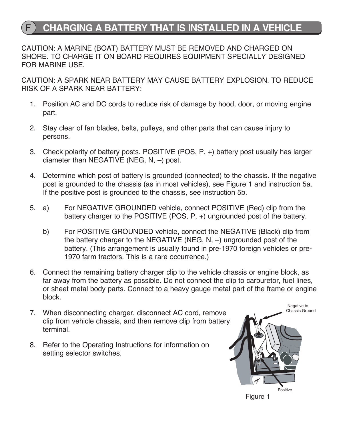### **CHARGING A BATTERY THAT IS INSTALLED IN A VEHICLE**

CAUTION: A MARINE (BOAT) BATTERY MUST BE REMOVED AND CHARGED ON SHORE. TO CHARGE IT ON BOARD REQUIRES EQUIPMENT SPECIALLY DESIGNED FOR MARINE USE.

CAUTION: A SPARK NEAR BATTERY MAY CAUSE BATTERY EXPLOSION. TO REDUCE RISK OF A SPARK NEAR BATTERY:

- 1. Position AC and DC cords to reduce risk of damage by hood, door, or moving engine part.
- 2. Stay clear of fan blades, belts, pulleys, and other parts that can cause injury to persons.
- 3. Check polarity of battery posts. POSITIVE (POS, P, +) battery post usually has larger diameter than NEGATIVE (NEG, N, –) post.
- 4. Determine which post of battery is grounded (connected) to the chassis. If the negative post is grounded to the chassis (as in most vehicles), see Figure 1 and instruction 5a. If the positive post is grounded to the chassis, see instruction 5b.
- 5. a) For NEGATIVE GROUNDED vehicle, connect POSITIVE (Red) clip from the battery charger to the POSITIVE (POS, P, +) ungrounded post of the battery.
	- b) For POSITIVE GROUNDED vehicle, connect the NEGATIVE (Black) clip from the battery charger to the NEGATIVE (NEG, N, –) ungrounded post of the battery. (This arrangement is usually found in pre-1970 foreign vehicles or pre-1970 farm tractors. This is a rare occurrence.)
- 6. Connect the remaining battery charger clip to the vehicle chassis or engine block, as far away from the battery as possible. Do not connect the clip to carburetor, fuel lines, or sheet metal body parts. Connect to a heavy gauge metal part of the frame or engine block.
- 7. When disconnecting charger, disconnect AC cord, remove clip from vehicle chassis, and then remove clip from battery terminal.
- 8. Refer to the Operating Instructions for information on setting selector switches.



Figure 1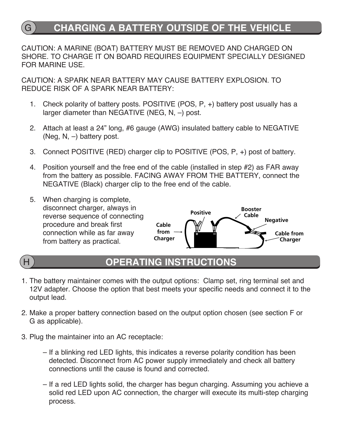## G **CHARGING A BATTERY OUTSIDE OF THE VEHICLE**

CAUTION: A MARINE (BOAT) BATTERY MUST BE REMOVED AND CHARGED ON SHORE. TO CHARGE IT ON BOARD REQUIRES EQUIPMENT SPECIALLY DESIGNED FOR MARINE USE.

CAUTION: A SPARK NEAR BATTERY MAY CAUSE BATTERY EXPLOSION. TO REDUCE RISK OF A SPARK NEAR BATTERY:

- 1. Check polarity of battery posts. POSITIVE (POS, P, +) battery post usually has a larger diameter than NEGATIVE (NEG, N, –) post.
- 2. Attach at least a 24" long, #6 gauge (AWG) insulated battery cable to NEGATIVE (Neg, N, –) battery post.
- 3. Connect POSITIVE (RED) charger clip to POSITIVE (POS, P, +) post of battery.
- 4. Position yourself and the free end of the cable (installed in step #2) as FAR away from the battery as possible. FACING AWAY FROM THE BATTERY, connect the NEGATIVE (Black) charger clip to the free end of the cable.
- 5. When charging is complete, disconnect charger, always in reverse sequence of connecting procedure and break first connection while as far away from battery as practical.





#### **OPERATING INSTRUCTIONS**

- 1. The battery maintainer comes with the output options: Clamp set, ring terminal set and 12V adapter. Choose the option that best meets your specific needs and connect it to the output lead.
- 2. Make a proper battery connection based on the output option chosen (see section F or G as applicable).
- 3. Plug the maintainer into an AC receptacle:
	- If a blinking red LED lights, this indicates a reverse polarity condition has been detected. Disconnect from AC power supply immediately and check all battery connections until the cause is found and corrected.
	- If a red LED lights solid, the charger has begun charging. Assuming you achieve a solid red LED upon AC connection, the charger will execute its multi-step charging process.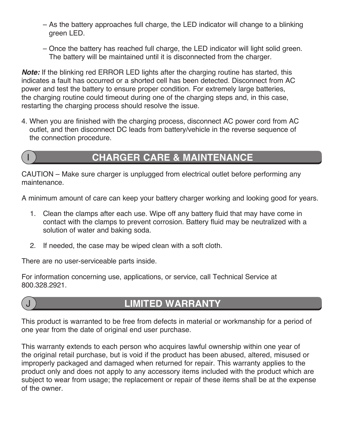- As the battery approaches full charge, the LED indicator will change to a blinking green LED.
- Once the battery has reached full charge, the LED indicator will light solid green. The battery will be maintained until it is disconnected from the charger.

**Note:** If the blinking red ERROR LED lights after the charging routine has started, this indicates a fault has occurred or a shorted cell has been detected. Disconnect from AC power and test the battery to ensure proper condition. For extremely large batteries, the charging routine could timeout during one of the charging steps and, in this case, restarting the charging process should resolve the issue.

4. When you are finished with the charging process, disconnect AC power cord from AC outlet, and then disconnect DC leads from battery/vehicle in the reverse sequence of the connection procedure.

## **CHARGER CARE & MAINTENANCE**

CAUTION – Make sure charger is unplugged from electrical outlet before performing any maintenance.

A minimum amount of care can keep your battery charger working and looking good for years.

- 1. Clean the clamps after each use. Wipe off any battery fluid that may have come in contact with the clamps to prevent corrosion. Battery fluid may be neutralized with a solution of water and baking soda.
- 2. If needed, the case may be wiped clean with a soft cloth.

There are no user-serviceable parts inside.

For information concerning use, applications, or service, call Technical Service at 800.328.2921.



## J **LIMITED WARRANTY**

This product is warranted to be free from defects in material or workmanship for a period of one year from the date of original end user purchase.

This warranty extends to each person who acquires lawful ownership within one year of the original retail purchase, but is void if the product has been abused, altered, misused or improperly packaged and damaged when returned for repair. This warranty applies to the product only and does not apply to any accessory items included with the product which are subject to wear from usage; the replacement or repair of these items shall be at the expense of the owner.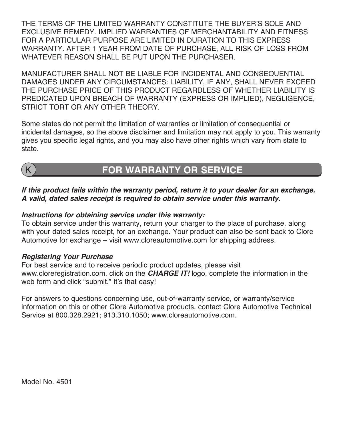THE TERMS OF THE LIMITED WARRANTY CONSTITUTE THE BUYER'S SOLE AND EXCLUSIVE REMEDY. IMPLIED WARRANTIES OF MERCHANTABILITY AND FITNESS FOR A PARTICULAR PURPOSE ARE LIMITED IN DURATION TO THIS EXPRESS WARRANTY. AFTER 1 YEAR FROM DATE OF PURCHASE, ALL RISK OF LOSS FROM WHATEVER REASON SHALL BE PUT UPON THE PURCHASER.

MANUFACTURER SHALL NOT BE LIABLE FOR INCIDENTAL AND CONSEQUENTIAL DAMAGES UNDER ANY CIRCUMSTANCES: LIABILITY, IF ANY, SHALL NEVER EXCEED THE PURCHASE PRICE OF THIS PRODUCT REGARDLESS OF WHETHER LIABILITY IS PREDICATED UPON BREACH OF WARRANTY (EXPRESS OR IMPLIED), NEGLIGENCE, STRICT TORT OR ANY OTHER THEORY.

Some states do not permit the limitation of warranties or limitation of consequential or incidental damages, so the above disclaimer and limitation may not apply to you. This warranty gives you specific legal rights, and you may also have other rights which vary from state to state.



## **FOR WARRANTY OR SERVICE**

**If this product fails within the warranty period, return it to your dealer for an exchange. A valid, dated sales receipt is required to obtain service under this warranty.** 

#### **Instructions for obtaining service under this warranty:**

To obtain service under this warranty, return your charger to the place of purchase, along with your dated sales receipt, for an exchange. Your product can also be sent back to Clore Automotive for exchange – visit www.cloreautomotive.com for shipping address.

#### **Registering Your Purchase**

For best service and to receive periodic product updates, please visit www.cloreregistration.com, click on the **CHARGE IT!** logo, complete the information in the web form and click "submit." It's that easy!

For answers to questions concerning use, out-of-warranty service, or warranty/service information on this or other Clore Automotive products, contact Clore Automotive Technical Service at 800.328.2921; 913.310.1050; www.cloreautomotive.com .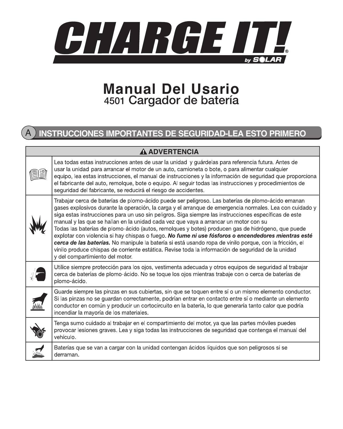

# **Manual Del Usario** 4501 Cargador de batería

#### A **INSTRUCCIONES IMPORTANTES DE SEGURIDAD-LEA ESTO PRIMERO**

| <b>A ADVERTENCIA</b> |                                                                                                                                                                                                                                                                                                                                                                                                                                                                                                                                                                                                                                                                                                                                                                                                                                                                               |  |  |  |
|----------------------|-------------------------------------------------------------------------------------------------------------------------------------------------------------------------------------------------------------------------------------------------------------------------------------------------------------------------------------------------------------------------------------------------------------------------------------------------------------------------------------------------------------------------------------------------------------------------------------------------------------------------------------------------------------------------------------------------------------------------------------------------------------------------------------------------------------------------------------------------------------------------------|--|--|--|
|                      | Lea todas estas instrucciones antes de usar la unidad y quárdelas para referencia futura. Antes de<br>usar la unidad para arrancar el motor de un auto, camioneta o bote, o para alimentar cualquier<br>equipo, lea estas instrucciones, el manual de instrucciones y la información de seguridad que proporciona<br>el fabricante del auto, remolque, bote o equipo. Al seguir todas las instrucciones y procedimientos de<br>seguridad del fabricante, se reducirá el riesgo de accidentes.                                                                                                                                                                                                                                                                                                                                                                                 |  |  |  |
|                      | Trabaiar cerca de baterías de plomo-ácido puede ser peligroso. Las baterías de plomo-ácido emanan<br>gases explosivos durante la operación, la carga y el arranque de emergencia normales. Lea con cuidado y<br>siga estas instrucciones para un uso sin peligros. Siga siempre las instrucciones específicas de este<br>manual y las que se hallan en la unidad cada vez que vaya a arrancar un motor con su<br>Todas las baterías de plomo-ácido (autos, remolques y botes) producen gas de hidrógeno, que puede<br>explotar con violencia si hay chispas o fuego. No fume ni use fósforos o encendedores mientras esté<br>cerca de las baterías. No manipule la batería si está usando ropa de vinilo porque, con la fricción, el<br>vinilo produce chispas de corriente estática. Revise toda la información de seguridad de la unidad<br>v del compartimiento del motor. |  |  |  |
|                      | Utilice siempre protección para los ojos, vestimenta adecuada y otros equipos de seguridad al trabajar<br>cerca de baterías de plomo-ácido. No se toque los ojos mientras trabaje con o cerca de baterías de<br>plomo-ácido.                                                                                                                                                                                                                                                                                                                                                                                                                                                                                                                                                                                                                                                  |  |  |  |
|                      | Guarde siempre las pinzas en sus cubiertas, sin que se toquen entre sí o un mismo elemento conductor.<br>Si las pinzas no se guardan correctamente, podrían entrar en contacto entre sí o mediante un elemento<br>conductor en común y producir un cortocircuito en la batería, lo que generaría tanto calor que podría<br>incendiar la mayoría de los materiales.                                                                                                                                                                                                                                                                                                                                                                                                                                                                                                            |  |  |  |
|                      | Tenga sumo cuidado al trabajar en el compartimiento del motor, va que las partes móviles puedes<br>provocar lesiones graves. Lea y siga todas las instrucciones de seguridad que contenga el manual del<br>vehículo.                                                                                                                                                                                                                                                                                                                                                                                                                                                                                                                                                                                                                                                          |  |  |  |
|                      | Baterías que se van a cargar con la unidad contengan ácidos líquidos que son peligrosos si se<br>derraman.                                                                                                                                                                                                                                                                                                                                                                                                                                                                                                                                                                                                                                                                                                                                                                    |  |  |  |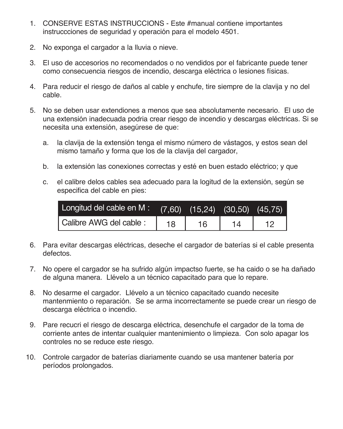- 1. CONSERVE ESTAS INSTRUCCIONS Este #manual contiene importantes instruccciones de seguridad y operación para el modelo 4501.
- 2. No exponga el cargador a la lluvia o nieve.
- 3. El uso de accesorios no recomendados o no vendidos por el fabricante puede tener como consecuencia riesgos de incendio, descarga eléctrica o lesiones físicas.
- 4. Para reducir el riesgo de daños al cable y enchufe, tire siempre de la clavija y no del cable.
- 5. No se deben usar extendiones a menos que sea absolutamente necesario. El uso de una extensión inadecuada podria crear riesgo de incendio y descargas eléctricas. Si se necesita una extensión, asegúrese de que:
	- a. la clavija de la extensión tenga el mismo número de vástagos, y estos sean del mismo tamaño y forma que los de la clavija del cargador,
	- b. la extensión las conexiones correctas y esté en buen estado eléctrico; y que
	- c. el calibre delos cables sea adecuado para la logitud de la extensión, según se especifica del cable en pies:

| Longitud del cable en M : |    | $(7,60)$ $(15,24)$ $(30,50)$ $(45,75)$ |    |  |
|---------------------------|----|----------------------------------------|----|--|
| Calibre AWG del cable :   | 18 | 16                                     | 14 |  |

- 6. Para evitar descargas eléctricas, deseche el cargador de baterías si el cable presenta defectos.
- 7. No opere el cargador se ha sufrido algún impactso fuerte, se ha caido o se ha dañado de alguna manera. Llévelo a un técnico capacitado para que lo repare.
- 8. No desarme el cargador. Llévelo a un técnico capacitado cuando necesite mantenmiento o reparación. Se se arma incorrectamente se puede crear un riesgo de descarga eléctrica o incendio.
- 9. Pare recucri el riesgo de descarga eléctrica, desenchufe el cargador de la toma de corriente antes de intentar cualquier mantenimiento o limpieza. Con solo apagar los controles no se reduce este riesgo.
- 10. Controle cargador de baterías diariamente cuando se usa mantener batería por períodos prolongados.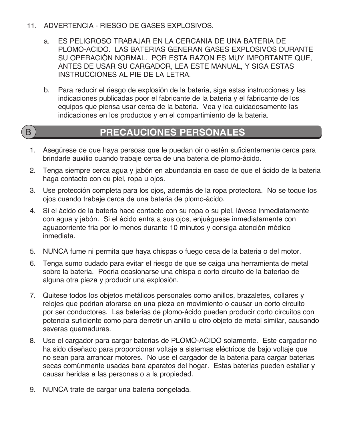- 11. ADVERTENCIA RIESGO DE GASES EXPLOSIVOS.
	- a. ES PELIGROSO TRABAJAR EN LA CERCANIA DE UNA BATERIA DE PLOMO-ACIDO. LAS BATERIAS GENERAN GASES EXPLOSIVOS DURANTE SU OPERACIÓN NORMAL. POR ESTA RAZON ES MUY IMPORTANTE QUE, ANTES DE USAR SU CARGADOR, LEA ESTE MANUAL, Y SIGA ESTAS INSTRUCCIONES AL PIE DE LA LETRA.
	- b. Para reducir el riesgo de explosión de la bateria, siga estas instrucciones y las indicaciones publicadas poor el fabricante de la bateria y el fabricante de los equipos que piensa usar cerca de la bateria. Vea y lea cuidadosamente las indicaciones en los productos y en el compartimiento de la bateria.

#### **B** PRECAUCIONES PERSONALES

- 1. Asegúrese de que haya persoas que le puedan oir o estén suficientemente cerca para brindarle auxilio cuando trabaje cerca de una bateria de plomo-ácido.
- 2. Tenga siempre cerca agua y jabón en abundancia en caso de que el ácido de la bateria haga contacto con cu piel, ropa u ojos.
- 3. Use protección completa para los ojos, además de la ropa protectora. No se toque los ojos cuando trabaje cerca de una bateria de plomo-ácido.
- 4. Si el ácido de la bateria hace contacto con su ropa o su piel, lávese inmediatamente con agua y jabón. Si el ácido entra a sus ojos, enjuáguese inmediatamente con aguacorriente fria por lo menos durante 10 minutos y consiga atención médico inmediata.
- 5. NUNCA fume ni permita que haya chispas o fuego ceca de la bateria o del motor.
- 6. Tenga sumo cudado para evitar el riesgo de que se caiga una herramienta de metal sobre la bateria. Podria ocasionarse una chispa o corto circuito de la bateriao de alguna otra pieza y producir una explosión.
- 7. Quitese todos los objetos metálicos personales como anillos, brazaletes, collares y relojes que podrian atorarse en una pieza en movimiento o causar un corto circuito por ser conductores. Las baterias de plomo-ácido pueden producir corto circuitos con potencia suficiente como para derretir un anillo u otro objeto de metal similar, causando severas quemaduras.
- 8. Use el cargador para cargar baterias de PLOMO-ACIDO solamente. Este cargador no ha sido diseñado para proporcionar voltaje a sistemas eléctricos de bajo voltaje que no sean para arrancar motores. No use el cargador de la bateria para cargar baterias secas comúnmente usadas bara aparatos del hogar. Estas baterias pueden estallar y causar heridas a las personas o a la propiedad.
- 9. NUNCA trate de cargar una bateria congelada.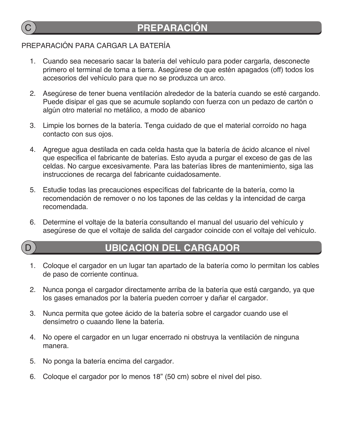

## C **PREPARACIÓN**

#### PREPARACIÓN PARA CARGAR LA BATERÍA

- 1. Cuando sea necesario sacar la batería del vehículo para poder cargarla, desconecte primero el terminal de toma a tierra. Asegúrese de que estén apagados (off) todos los accesorios del vehículo para que no se produzca un arco.
- 2. Asegúrese de tener buena ventilación alrededor de la batería cuando se esté cargando. Puede disipar el gas que se acumule soplando con fuerza con un pedazo de cartón o algún otro material no metálico, a modo de abanico
- 3. Limpie los bornes de la batería. Tenga cuidado de que el material corroído no haga contacto con sus ojos.
- 4. Agregue agua destilada en cada celda hasta que la batería de ácido alcance el nivel que especifica el fabricante de baterías. Esto ayuda a purgar el exceso de gas de las celdas. No cargue excesivamente. Para las baterías libres de mantenimiento, siga las instrucciones de recarga del fabricante cuidadosamente.
- 5. Estudie todas las precauciones específicas del fabricante de la batería, como la recomendación de remover o no los tapones de las celdas y la intencidad de carga recomendada.
- 6. Determine el voltaje de la batería consultando el manual del usuario del vehículo y asegúrese de que el voltaje de salida del cargador coincide con el voltaje del vehículo.



#### D **UBICACION DEL CARGADOR**

- 1. Coloque el cargador en un lugar tan apartado de la batería como lo permitan los cables de paso de corriente continua.
- 2. Nunca ponga el cargador directamente arriba de la batería que está cargando, ya que los gases emanados por la batería pueden corroer y dañar el cargador.
- 3. Nunca permita que gotee ácido de la batería sobre el cargador cuando use el densímetro o cuaando llene la batería.
- 4. No opere el cargador en un lugar encerrado ni obstruya la ventilación de ninguna manera.
- 5. No ponga la batería encima del cargador.
- 6. Coloque el cargador por lo menos 18" (50 cm) sobre el nivel del piso.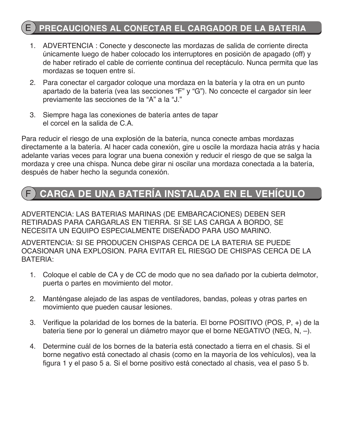### E **PRECAUCIONES AL CONECTAR EL CARGADOR DE LA BATERIA**

- 1. ADVERTENCIA : Conecte y desconecte las mordazas de salida de corriente directa únicamente luego de haber colocado los interruptores en posición de apagado (off) y de haber retirado el cable de corriente continua del receptáculo. Nunca permita que las mordazas se toquen entre sí.
- 2. Para conectar el cargador coloque una mordaza en la batería y la otra en un punto apartado de la batería (vea las secciones "F" y "G"). No concecte el cargador sin leer previamente las secciones de la "A" a la "J."
- 3. Siempre haga las conexiones de batería antes de tapar el corcel en la salida de C.A.

Para reducir el riesgo de una explosión de la batería, nunca conecte ambas mordazas directamente a la batería. Al hacer cada conexión, gire u oscile la mordaza hacia atrás y hacia adelante varias veces para lograr una buena conexión y reducir el riesgo de que se salga la mordaza y cree una chispa. Nunca debe girar ni oscilar una mordaza conectada a la batería, después de haber hecho la segunda conexión.

#### F **CARGA DE UNA BATERÍA INSTALADA EN EL VEHÍCULO**

ADVERTENCIA: LAS BATERIAS MARINAS (DE EMBARCACIONES) DEBEN SER RETIRADAS PARA CARGARLAS EN TIERRA. SI SE LAS CARGA A BORDO, SE NECESITA UN EQUIPO ESPECIALMENTE DISEÑADO PARA USO MARINO.

ADVERTENCIA: SI SE PRODUCEN CHISPAS CERCA DE LA BATERIA SE PUEDE OCASIONAR UNA EXPLOSION. PARA EVITAR EL RIESGO DE CHISPAS CERCA DE LA BATERIA:

- 1. Coloque el cable de CA y de CC de modo que no sea dañado por la cubierta delmotor, puerta o partes en movimiento del motor.
- 2. Manténgase alejado de las aspas de ventiladores, bandas, poleas y otras partes en movimiento que pueden causar lesiones.
- 3. Verifique la polaridad de los bornes de la batería. El borne POSITIVO (POS, P, +) de la batería tiene por lo general un diámetro mayor que el borne NEGATIVO (NEG, N, –).
- 4. Determine cuál de los bornes de la batería está conectado a tierra en el chasis. Si el borne negativo está conectado al chasis (como en la mayoría de los vehículos), vea la figura 1 y el paso 5 a. Si el borne positivo está conectado al chasis, vea el paso 5 b.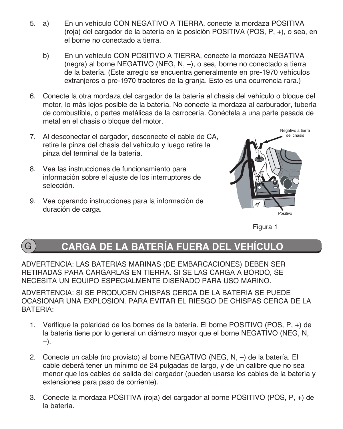- 5. a) En un vehículo CON NEGATIVO A TIERRA, conecte la mordaza POSITIVA (roja) del cargador de la batería en la posición POSITIVA (POS, P, +), o sea, en el borne no conectado a tierra.
	- b) En un vehículo CON POSITIVO A TIERRA, conecte la mordaza NEGATIVA (negra) al borne NEGATIVO (NEG, N, –), o sea, borne no conectado a tierra de la batería. (Este arreglo se encuentra generalmente en pre-1970 vehículos extranjeros o pre-1970 tractores de la granja. Esto es una ocurrencia rara.)
- 6. Conecte la otra mordaza del cargador de la batería al chasis del vehículo o bloque del motor, lo más lejos posible de la batería. No conecte la mordaza al carburador, tubería de combustible, o partes metálicas de la carrocería. Conéctela a una parte pesada de metal en el chasis o bloque del motor.
- 7. Al desconectar el cargador, desconecte el cable de CA, retire la pinza del chasis del vehículo y luego retire la pinza del terminal de la batería.
- 8. Vea las instrucciones de funcionamiento para información sobre el ajuste de los interruptores de selección.
- 9. Vea operando instrucciones para la información de duración de carga.



Figura 1

## G **CARGA DE LA BATERÍA FUERA DEL VEHÍCULO**

ADVERTENCIA: LAS BATERIAS MARINAS (DE EMBARCACIONES) DEBEN SER RETIRADAS PARA CARGARLAS EN TIERRA. SI SE LAS CARGA A BORDO, SE NECESITA UN EQUIPO ESPECIALMENTE DISEÑADO PARA USO MARINO.

ADVERTENCIA: SI SE PRODUCEN CHISPAS CERCA DE LA BATERIA SE PUEDE OCASIONAR UNA EXPLOSION. PARA EVITAR EL RIESGO DE CHISPAS CERCA DE LA BATERIA:

- 1. Verifique la polaridad de los bornes de la batería. El borne POSITIVO (POS, P, +) de la batería tiene por lo general un diámetro mayor que el borne NEGATIVO (NEG, N, –).
- 2. Conecte un cable (no provisto) al borne NEGATIVO (NEG, N, –) de la batería. El cable deberá tener un mínimo de 24 pulgadas de largo, y de un calibre que no sea menor que los cables de salida del cargador (pueden usarse los cables de la batería y extensiones para paso de corriente).
- 3. Conecte la mordaza POSITIVA (roja) del cargador al borne POSITIVO (POS, P, +) de la batería.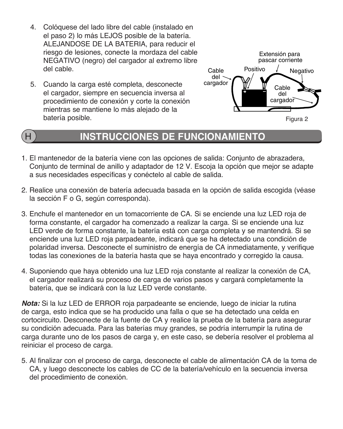- 4. Colóquese del lado libre del cable (instalado en el paso 2) lo más LEJOS posible de la batería. ALEJANDOSE DE LA BATERIA, para reducir el riesgo de lesiones, conecte la mordaza del cable NEGATIVO (negro) del cargador al extremo libre del cable.
- 5. Cuando la carga esté completa, desconecte el cargador, siempre en secuencia inversa al procedimiento de conexión y corte la conexión mientras se mantiene lo más alejado de la batería posible.



#### **INSTRUCCIONES DE FUNCIONAMIENTO**

- 1. El mantenedor de la batería viene con las opciones de salida: Conjunto de abrazadera, Conjunto de terminal de anillo y adaptador de 12 V. Escoja la opción que mejor se adapte a sus necesidades específicas y conéctelo al cable de salida.
- 2. Realice una conexión de batería adecuada basada en la opción de salida escogida (véase la sección F o G, según corresponda).
- 3. Enchufe el mantenedor en un tomacorriente de CA. Si se enciende una luz LED roja de forma constante, el cargador ha comenzado a realizar la carga. Si se enciende una luz LED verde de forma constante, la batería está con carga completa y se mantendrá. Si se enciende una luz LED roja parpadeante, indicará que se ha detectado una condición de polaridad inversa. Desconecte el suministro de energía de CA inmediatamente, y verifique todas las conexiones de la batería hasta que se haya encontrado y corregido la causa.
- 4. Suponiendo que haya obtenido una luz LED roja constante al realizar la conexión de CA, el cargador realizará su proceso de carga de varios pasos y cargará completamente la batería, que se indicará con la luz LED verde constante.

**Nota:** Si la luz LED de ERROR roja parpadeante se enciende, luego de iniciar la rutina de carga, esto indica que se ha producido una falla o que se ha detectado una celda en cortocircuito. Desconecte de la fuente de CA y realice la prueba de la batería para asegurar su condición adecuada. Para las baterías muy grandes, se podría interrumpir la rutina de carga durante uno de los pasos de carga y, en este caso, se debería resolver el problema al reiniciar el proceso de carga.

5. Al finalizar con el proceso de carga, desconecte el cable de alimentación CA de la toma de CA, y luego desconecte los cables de CC de la batería/vehículo en la secuencia inversa del procedimiento de conexión.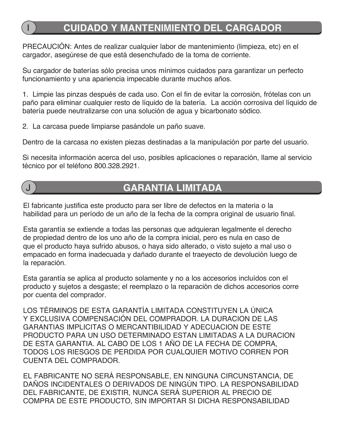## I **CUIDADO Y MANTENIMIENTO DEL CARGADOR**

PRECAUCIÓN: Antes de realizar cualquier labor de mantenimiento (limpieza, etc) en el cargador, asegúrese de que está desenchufado de la toma de corriente.

Su cargador de baterías sólo precisa unos mínimos cuidados para garantizar un perfecto funcionamiento y una apariencia impecable durante muchos años.

 1. Limpie las pinzas después de cada uso. Con el fin de evitar la corrosión, frótelas con un paño para eliminar cualquier resto de líquido de la batería. La acción corrosiva del líquido de batería puede neutralizarse con una solución de agua y bicarbonato sódico.

2. La carcasa puede limpiarse pasándole un paño suave.

Dentro de la carcasa no existen piezas destinadas a la manipulación por parte del usuario.

Si necesita información acerca del uso, posibles aplicaciones o reparación, llame al servicio técnico por el teléfono 800.328.2921.



## **GARANTIA LIMITADA**

El fabricante justifica este producto para ser libre de defectos en la materia o la habilidad para un período de un año de la fecha de la compra original de usuario final.

Esta garantía se extiende a todas las personas que adquieran legalmente el derecho de propiedad dentro de los uno año de la compra inicial, pero es nula en caso de que el producto haya sufrido abusos, o haya sido alterado, o visto sujeto a mal uso o empacado en forma inadecuada y dañado durante el traeyecto de devolución luego de la reparación.

Esta garantía se aplica al producto solamente y no a los accesorios incluídos con el producto y sujetos a desgaste; el reemplazo o la reparación de dichos accesorios corre por cuenta del comprador.

LOS TÉRMINOS DE ESTA GARANTÍA LIMITADA CONSTITUYEN LA ÚNICA Y EXCLUSIVA COMPENSACIÓN DEL COMPRADOR. LA DURACION DE LAS GARANTIAS IMPLICITAS O MERCANTIBILIDAD Y ADECUACION DE ESTE PRODUCTO PARA UN USO DETERMINADO ESTAN LIMITADAS A LA DURACION DE ESTA GARANTIA. AL CABO DE LOS 1 AÑO DE LA FECHA DE COMPRA, TODOS LOS RIESGOS DE PERDIDA POR CUALQUIER MOTIVO CORREN POR CUENTA DEL COMPRADOR.

EL FABRICANTE NO SERÁ RESPONSABLE, EN NINGUNA CIRCUNSTANCIA, DE DAÑOS INCIDENTALES O DERIVADOS DE NINGÚN TIPO. LA RESPONSABILIDAD DEL FABRICANTE, DE EXISTIR, NUNCA SERÁ SUPERIOR AL PRECIO DE COMPRA DE ESTE PRODUCTO, SIN IMPORTAR SI DICHA RESPONSABILIDAD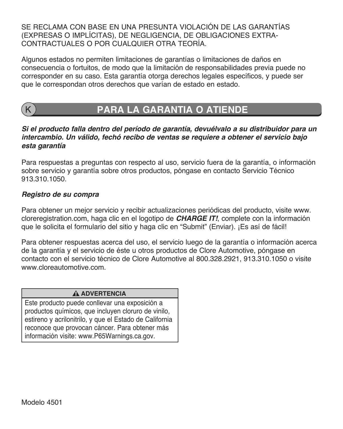SE RECLAMA CON BASE EN UNA PRESUNTA VIOLACIÓN DE LAS GARANTÍAS (EXPRESAS O IMPLÍCITAS), DE NEGLIGENCIA, DE OBLIGACIONES EXTRA-CONTRACTUALES O POR CUALQUIER OTRA TEORÍA.

Algunos estados no permiten limitaciones de garantías o limitaciones de daños en consecuencia o fortuitos, de modo que la limitación de responsabilidades previa puede no corresponder en su caso. Esta garantía otorga derechos legales específicos, y puede ser que le correspondan otros derechos que varían de estado en estado.

### **PARA LA GARANTIA O ATIENDE**

#### **Si el producto falla dentro del período de garantía, devuélvalo a su distribuidor para un intercambio. Un válido, fechó recibo de ventas se requiere a obtener el servicio bajo esta garantía**

Para respuestas a preguntas con respecto al uso, servicio fuera de la garantía, o información sobre servicio y garantía sobre otros productos, póngase en contacto Servicio Técnico 913.310.1050.

#### **Registro de su compra**

Para obtener un mejor servicio y recibir actualizaciones periódicas del producto, visite www. cloreregistration.com, haga clic en el logotipo de **CHARGE IT!**, complete con la información que le solicita el formulario del sitio y haga clic en "Submit" (Enviar). ¡Es así de fácil!

Para obtener respuestas acerca del uso, el servicio luego de la garantía o información acerca de la garantía y el servicio de éste u otros productos de Clore Automotive, póngase en contacto con el servicio técnico de Clore Automotive al 800.328.2921, 913.310.1050 o visite www.cloreautomotive.com.

#### **ADVERTENCIA**

Este producto puede conllevar una exposición a productos químicos, que incluyen cloruro de vinilo, estireno y acrilonitrilo, y que el Estado de California reconoce que provocan cáncer. Para obtener más información visite: www.P65Warnings.ca.gov.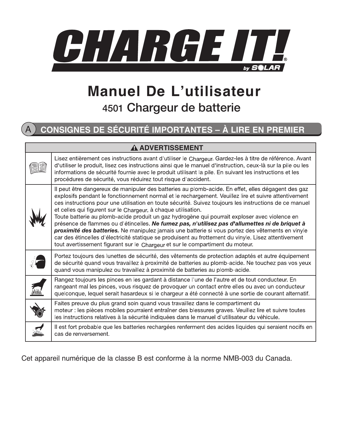

# **Manuel De L'utilisateur** 4501 Chargeur de batterie

## A **CONSIGNES DE SÉCURITÉ IMPORTANTES – À LIRE EN PREMIER**

| A ADVERTISSEMENT |                                                                                                                                                                                                                                                                                                                                                                                                                                                                                                                                                                                                                                                                                                                                                                                                                                                                                       |  |  |  |
|------------------|---------------------------------------------------------------------------------------------------------------------------------------------------------------------------------------------------------------------------------------------------------------------------------------------------------------------------------------------------------------------------------------------------------------------------------------------------------------------------------------------------------------------------------------------------------------------------------------------------------------------------------------------------------------------------------------------------------------------------------------------------------------------------------------------------------------------------------------------------------------------------------------|--|--|--|
|                  | Lisez entièrement ces instructions avant d'utiliser le Chargeur. Gardez-les à titre de référence. Avant<br>d'utiliser le produit, lisez ces instructions ainsi que le manuel d'instruction, ceux-là sur la pile ou les<br>informations de sécurité fournie avec le produit utilisant la pile. En suivant les instructions et les<br>procédures de sécurité, vous réduirez tout risque d'accident.                                                                                                                                                                                                                                                                                                                                                                                                                                                                                     |  |  |  |
|                  | Il peut être dangereux de manipuler des batteries au plomb-acide. En effet, elles dégagent des gaz<br>explosifs pendant le fonctionnement normal et le rechargement. Veuillez lire et suivre attentivement<br>ces instructions pour une utilisation en toute sécurité. Suivez toujours les instructions de ce manuel<br>et celles qui figurent sur le Chargeur, à chaque utilisation.<br>Toute batterie au plomb-acide produit un gaz hydrogène qui pourrait exploser avec violence en<br>présence de flammes ou d'étincelles. Ne fumez pas, n'utilisez pas d'allumettes ni de briquet à<br>proximité des batteries. Ne manipulez jamais une batterie si vous portez des vêtements en vinyle<br>car des étincelles d'électricité statique se produisent au frottement du vinyle. Lisez attentivement<br>tout avertissement figurant sur le Chargeur et sur le compartiment du moteur. |  |  |  |
|                  | Portez toujours des junettes de sécurité, des vêtements de protection adaptés et autre équipement<br>de sécurité quand vous travaillez à proximité de batteries au plomb-acide. Ne touchez pas vos yeux<br>quand vous manipulez ou travaillez à proximité de batteries au plomb-acide.                                                                                                                                                                                                                                                                                                                                                                                                                                                                                                                                                                                                |  |  |  |
|                  | Rangez toujours les pinces en les gardant à distance l'une de l'autre et de tout conducteur. En<br>rangeant mal les pinces, vous risquez de provoquer un contact entre elles ou avec un conducteur<br>quelconque, lequel serait hasardeux si le chargeur a été connecté à une sortie de courant alternatif.                                                                                                                                                                                                                                                                                                                                                                                                                                                                                                                                                                           |  |  |  |
|                  | Faites preuve du plus grand soin quand vous travaillez dans le compartiment du<br>moteur : les pièces mobiles pourraient entraîner des blessures graves. Veuillez lire et suivre toutes<br>les instructions relatives à la sécurité indiquées dans le manuel d'utilisateur du véhicule.                                                                                                                                                                                                                                                                                                                                                                                                                                                                                                                                                                                               |  |  |  |
|                  | Il est fort probable que les batteries rechargées renferment des acides liquides qui seraient nocifs en<br>cas de renversement.                                                                                                                                                                                                                                                                                                                                                                                                                                                                                                                                                                                                                                                                                                                                                       |  |  |  |

Cet appareil numérique de la classe B est conforme à la norme NMB-003 du Canada.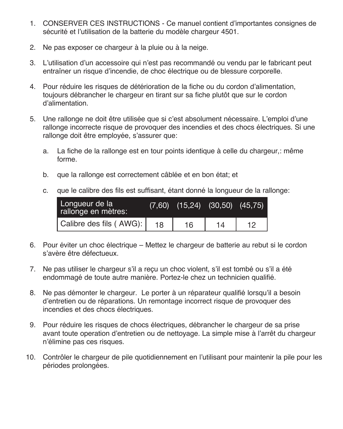- 1. CONSERVER CES INSTRUCTIONS Ce manuel contient d'importantes consignes de sécurité et l'utilisation de la batterie du modèle chargeur 4501.
- 2. Ne pas exposer ce chargeur à la pluie ou à la neige.
- 3. L'utilisation d'un accessoire qui n'est pas recommandé ou vendu par le fabricant peut entraîner un risque d'incendie, de choc électrique ou de blessure corporelle.
- 4. Pour réduire les risques de détérioration de la fiche ou du cordon d'alimentation, toujours débrancher le chargeur en tirant sur sa fiche plutôt que sur le cordon d'alimentation.
- 5. Une rallonge ne doit être utilisée que si c'est absolument nécessaire. L'emploi d'une rallonge incorrecte risque de provoquer des incendies et des chocs électriques. Si une rallonge doit être employée, s'assurer que:
	- a. La fiche de la rallonge est en tour points identique à celle du chargeur,: même forme.
	- b. que la rallonge est correctement câblée et en bon état; et
	- c. que le calibre des fils est suffisant, étant donné la longueur de la rallonge:

| Longueur de la<br>rallonge en mètres: | (7.60) |    | $(15,24)$ $(30,50)$ $(45,75)$ |  |
|---------------------------------------|--------|----|-------------------------------|--|
| Calibre des fils (AWG):               | 18     | 16 | 14                            |  |

- 6. Pour éviter un choc électrique Mettez le chargeur de batterie au rebut si le cordon s'avère être défectueux.
- 7. Ne pas utiliser le chargeur s'il a reçu un choc violent, s'il est tombé ou s'il a été endommagé de toute autre manière. Portez-le chez un technicien qualifié.
- 8. Ne pas démonter le chargeur. Le porter à un réparateur qualifié lorsqu'il a besoin d'entretien ou de réparations. Un remontage incorrect risque de provoquer des incendies et des chocs électriques.
- 9. Pour réduire les risques de chocs électriques, débrancher le chargeur de sa prise avant toute operation d'entretien ou de nettoyage. La simple mise à l'arrêt du chargeur n'élimine pas ces risques.
- 10. Contrôler le chargeur de pile quotidiennement en l'utilisant pour maintenir la pile pour les périodes prolongées.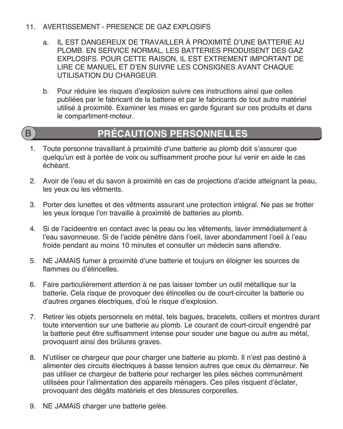- 11. AVERTISSEMENT PRESENCE DE GAZ EXPLOSIFS
	- a. IL EST DANGEREUX DE TRAVAILLER À PROXIMITÉ D'UNE BATTERIE AU PLOMB. EN SERVICE NORMAL, LES BATTERIES PRODUISENT DES GAZ EXPLOSIFS. POUR CETTE RAISON, IL EST EXTREMENT IMPORTANT DE LIRE CE MANUEL ET D'EN SUIVRE LES CONSIGNES AVANT CHAQUE UTILISATION DU CHARGEUR.
	- b. Pour réduire les risques d'explosion suivre ces instructions ainsi que celles publiées par le fabricant de la batterie et par le fabricants de tout autre matériel utilisé à proximité. Examiner les mises en garde figurant sur ces produits et dans le compartiment-moteur.

### **B PRÉCAUTIONS PERSONNELLES**

- 1. Toute personne travaillant à proximité d'une batterie au plomb doit s'assurer que quelqu'un est à portée de voix ou suffisamment proche pour lui venir en aide le cas échéant.
- 2. Avoir de l'eau et du savon à proximité en cas de projections d'acide atteignant la peau, les yeux ou les vêtments.
- 3. Porter des lunettes et des vêtments assurant une protection intégral. Ne pas se frotter les yeux lorsque l'on travaille à proximité de batteries au plomb.
- 4. Si de l'acideentre en contact avec la peau ou les vêtements, laver immédiatement à l'eau savonneuse. Si de l'acide pénètre dans l'oeil, laver abondamment l'oeil à l'eau froide pendant au moins 10 minutes et consulter un médecin sans attendre.
- 5. NE JAMAIS fumer à proximité d'une batterie et toujurs en éloigner les sources de flammes ou d'étincelles
- 6. Faire particulièrement attention à ne pas laisser tomber un outil métallique sur la batterie. Cela risque de provoquer des étincelles ou de court-circuiter la batterie ou d'autres organes électriques, d'où le risque d'explosion.
- 7. Retirer les objets personnels en métal, tels bagues, bracelets, colliers et montres durant toute intervention sur une batterie au plomb. Le courant de court-circuit engendré par la batterie peut être suffisamment intense pour souder une bague ou autre au métal, provoquant ainsi des brûlures graves.
- 8. N'utiliser ce chargeur que pour charger une batterie au plomb. Il n'est pas destiné à alimenter des circuits électriques à basse tension autres que ceux du démarreur. Ne pas utiliser ce chargeur de batterie pour recharger les piles sèches communément utilisées pour l'alimentation des appareils ménagers. Ces piles risquent d'éclater, provoquant des dégâts matériels et des blessures corporelles.
- 9. NE JAMAIS charger une batterie gelée.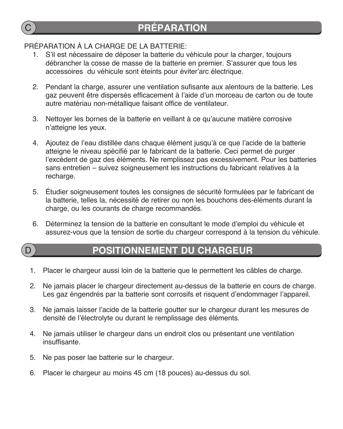

## C **PRÉPARATION**

# PRÉPARATION Á LA CHARGE DE LA BATTERIE:

- 1. S'il est nécessaire de déposer la batterie du véhicule pour la charger, toujours débrancher la cosse de masse de la batterie en premier. S'assurer que tous les accessoires du véhicule sont éteints pour éviter'arc électrique.
- 2. Pendant la charge, assurer une ventilation sufisante aux alentours de la batterie. Les gaz peuvent être dispersés efficacement à l'aide d'un morceau de carton ou de toute autre matériau non-métallique faisant office de ventilateur.
- 3. Nettoyer les bornes de la batterie en veillant à ce qu'aucune matière corrosive n'atteigne les yeux.
- 4. Ajoutez de l'eau distillée dans chaque élément jusqu'à ce que l'acide de la batterie atteigne le niveau spécifié par le fabricant de la batterie. Ceci permet de purger l'excédent de gaz des éléments. Ne remplissez pas excessivement. Pour les batteries sans entretien – suivez soigneusement les instructions du fabricant relatives à la recharge.
- 5. Étudier soigneusement toutes les consignes de sécurité formulées par le fabricant de la batterie, telles la, nécessité de retirer ou non les bouchons des-éléments durant la charge, ou les courants de charge recommandés.
- 6. Déterminez la tension de la batterie en consultant le mode d'emploi du véhicule et assurez-vous que la tension de sortie du chargeur correspond à la tension du véhicule.

#### **POSITIONNEMENT DU CHARGEUR**

- 1. Placer le chargeur aussi loin de la batterie que le permettent les câbles de charge.
- 2. Ne jamais placer le chargeur directement au-dessus de la batterie en cours de charge. Les gaz éngendrés par la batterie sont corrosifs et risquent d'endommager l'appareil.
- 3. Ne jamais laisser l'acide de la batterie goutter sur le chargeur durant les mesures de densité de l'électrolyte ou durant le remplissage des éléments.
- 4. Ne jamais utiliser le chargeur dans un endroit clos ou présentant une ventilation insuffisante.
- 5. Ne pas poser lae batterie sur le chargeur.
- 6. Placer le chargeur au moins 45 cm (18 pouces) au-dessus du sol.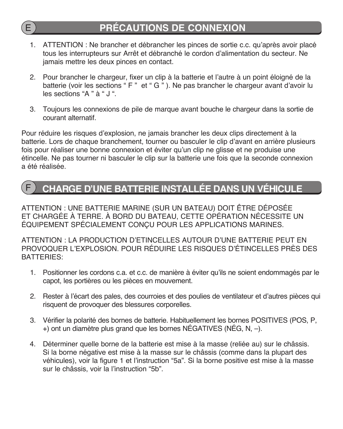## E **PRÉCAUTIONS DE CONNEXION**

- 1. ATTENTION : Ne brancher et débrancher les pinces de sortie c.c. qu'après avoir placé tous les interrupteurs sur Arrêt et débranché le cordon d'alimentation du secteur. Ne jamais mettre les deux pinces en contact.
- 2. Pour brancher le chargeur, fixer un clip à la batterie et l'autre à un point éloigné de la batterie (voir les sections " F " et " G " ). Ne pas brancher le chargeur avant d'avoir lu les sections "A " à " J ".
- 3. Toujours les connexions de pile de marque avant bouche le chargeur dans la sortie de courant alternatif.

Pour réduire les risques d'explosion, ne jamais brancher les deux clips directement à la batterie. Lors de chaque branchement, tourner ou basculer le clip d'avant en arrière plusieurs fois pour réaliser une bonne connexion et éviter qu'un clip ne glisse et ne produise une étincelle. Ne pas tourner ni basculer le clip sur la batterie une fois que la seconde connexion a été réalisée.

## F **CHARGE D'UNE BATTERIE INSTALLÉE DANS UN VÉHICULE**

ATTENTION : UNE BATTERIE MARINE (SUR UN BATEAU) DOIT ÊTRE DÉPOSÉE ET CHARGÉE À TERRE. À BORD DU BATEAU, CETTE OPÉRATION NÉCESSITE UN ÉQUIPEMENT SPÉCIALEMENT CONÇU POUR LES APPLICATIONS MARINES.

ATTENTION : LA PRODUCTION D'ETINCELLES AUTOUR D'UNE BATTERIE PEUT EN PROVOQUER L'EXPLOSION. POUR RÉDUIRE LES RISQUES D'ÉTINCELLES PRÈS DES BATTERIES:

- 1. Positionner les cordons c.a. et c.c. de manière à éviter qu'ils ne soient endommagés par le capot, les portières ou les pièces en mouvement.
- 2. Rester à l'écart des pales, des courroies et des poulies de ventilateur et d'autres pièces qui risquent de provoquer des blessures corporelles.
- 3. Vérifier la polarité des bornes de batterie. Habituellement les bornes POSITIVES (POS, P, +) ont un diamètre plus grand que les bornes NÉGATIVES (NÉG, N, –).
- 4. Déterminer quelle borne de la batterie est mise à la masse (reliée au) sur le châssis. Si la borne négative est mise à la masse sur le châssis (comme dans la plupart des véhicules), voir la figure 1 et l'instruction "5a". Si la borne positive est mise à la masse sur le châssis, voir la l'instruction "5b".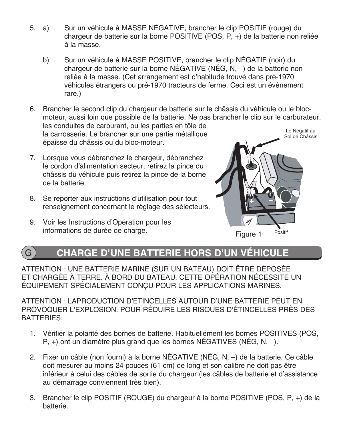- 5. a) Sur un véhicule à MASSE NÉGATIVE, brancher le clip POSITIF (rouge) du chargeur de batterie sur la borne POSITIVE (POS, P, +) de la batterie non reliée à la masse.
	- b) Sur un véhicule à MASSE POSITIVE, brancher le clip NÉGATIF (noir) du chargeur de batterie sur la borne NÉGATIVE (NÉG, N, –) de la batterie non reliée à la masse. (Cet arrangement est d'habitude trouvé dans pré-1970 véhicules étrangers ou pré-1970 tracteurs de ferme. Ceci est un événement rare.)
- 6. Brancher le second clip du chargeur de batterie sur le châssis du véhicule ou le blocmoteur, aussi loin que possible de la batterie. Ne pas brancher le clip sur le carburateur, les conduites de carburant, ou les parties en tôle de la carrosserie. Le brancher sur une partie métallique épaisse du châssis ou du bloc-moteur. Le Négatif au Sol de Châssis
- 7. Lorsque vous débranchez le chargeur, débranchez le cordon d'alimentation secteur, retirez la pince du châssis du véhicule puis retirez la pince de la borne de la batterie.
- 8. Se reporter aux instructions d'utilisation pour tout renseignement concernant le réglage des sélecteurs.
- 9. Voir les Instructions d'Opération pour les informations de durée de charge.



## G **CHARGE D'UNE BATTERIE HORS D'UN VÉHICULE**

ATTENTION : UNE BATTERIE MARINE (SUR UN BATEAU) DOIT ÊTRE DÉPOSÉE ET CHARGÉE À TERRE. À BORD DU BATEAU, CETTE OPÉRATION NÉCESSITE UN ÉQUIPEMENT SPÉCIALEMENT CONÇU POUR LES APPLICATIONS MARINES.

ATTENTION : LAPRODUCTION D'ETINCELLES AUTOUR D'UNE BATTERIE PEUT EN PROVOQUER L'EXPLOSION. POUR RÉDUIRE LES RISQUES D'ÉTINCELLES PRÈS DES BATTERIES:

- 1. Vérifier la polarité des bornes de batterie. Habituellement les bornes POSITIVES (POS, P, +) ont un diamètre plus grand que les bornes NÉGATIVES (NÉG, N, –).
- 2. Fixer un câble (non fourni) à la borne NÉGATIVE (NÉG, N, –) de la batterie. Ce câble doit mesurer au moins 24 pouces (61 cm) de long et son calibre ne doit pas être inférieur à celui des câbles de sortie du chargeur (les câbles de batterie et d'assistance au démarrage conviennent très bien).
- 3. Brancher le clip POSITIF (ROUGE) du chargeur à la borne POSITIVE (POS, P, +) de la batterie.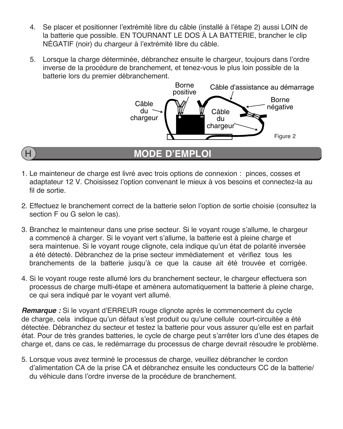- 4. Se placer et positionner l'extrémité libre du câble (installé à l'étape 2) aussi LOIN de la batterie que possible. EN TOURNANT LE DOS À LA BATTERIE, brancher le clip NÉGATIF (noir) du chargeur à l'extrémité libre du câble.
- 5. Lorsque la charge déterminée, débranchez ensuite le chargeur, toujours dans l'ordre inverse de la procédure de branchement, et tenez-vous le plus loin possible de la batterie lors du premier débranchement.



#### **MODE D'EMPLOI**

- 1. Le mainteneur de charge est livré avec trois options de connexion : pinces, cosses et adaptateur 12 V. Choisissez l'option convenant le mieux à vos besoins et connectez-la au fil de sortie.
- 2. Effectuez le branchement correct de la batterie selon l'option de sortie choisie (consultez la section F ou G selon le cas).
- 3. Branchez le mainteneur dans une prise secteur. Si le voyant rouge s'allume, le chargeur a commencé à charger. Si le voyant vert s'allume, la batterie est à pleine charge et sera maintenue. Si le voyant rouge clignote, cela indique qu'un état de polarité inversée a été détecté. Débranchez de la prise secteur immédiatement et vérifiez tous les branchements de la batterie jusqu'à ce que la cause ait été trouvée et corrigée.
- 4. Si le voyant rouge reste allumé lors du branchement secteur, le chargeur effectuera son processus de charge multi-étape et amènera automatiquement la batterie à pleine charge, ce qui sera indiqué par le voyant vert allumé.

**Remarque :** Si le voyant d'ERREUR rouge clignote après le commencement du cycle de charge, cela indique qu'un défaut s'est produit ou qu'une cellule court-circuitée a été détectée. Débranchez du secteur et testez la batterie pour vous assurer qu'elle est en parfait état. Pour de très grandes batteries, le cycle de charge peut s'arrêter lors d'une des étapes de charge et, dans ce cas, le redémarrage du processus de charge devrait résoudre le problème.

5. Lorsque vous avez terminé le processus de charge, veuillez débrancher le cordon d'alimentation CA de la prise CA et débranchez ensuite les conducteurs CC de la batterie/ du véhicule dans l'ordre inverse de la procédure de branchement.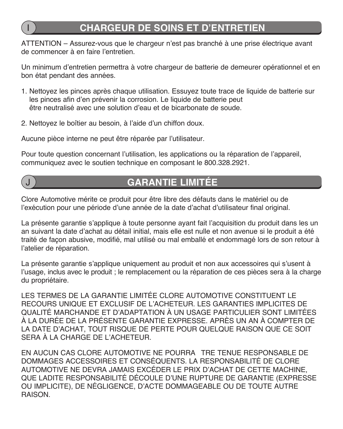## I **CHARGEUR DE SOINS ET D'ENTRETIEN**

ATTENTION – Assurez-vous que le chargeur n'est pas branché à une prise électrique avant de commencer à en faire l'entretien.

Un minimum d'entretien permettra à votre chargeur de batterie de demeurer opérationnel et en bon état pendant des années.

- 1. Nettoyez les pinces après chaque utilisation. Essuyez toute trace de liquide de batterie sur les pinces afin d'en prévenir la corrosion. Le liquide de batterie peut être neutralisé avec une solution d'eau et de bicarbonate de soude.
- 2. Nettoyez le boîtier au besoin, à l'aide d'un chiffon doux.

Aucune pièce interne ne peut être réparée par l'utilisateur.

Pour toute question concernant l'utilisation, les applications ou la réparation de l'appareil, communiquez avec le soutien technique en composant le 800.328.2921.

## **GARANTIE LIMITÉE**

Clore Automotive mérite ce produit pour être libre des défauts dans le matériel ou de l'exécution pour une période d'une année de la date d'achat d'utilisateur final original.

La présente garantie s'applique à toute personne ayant fait l'acquisition du produit dans les un an suivant la date d'achat au détail initial, mais elle est nulle et non avenue si le produit a été traité de façon abusive, modifié, mal utilisé ou mal emballé et endommagé lors de son retour à l'atelier de réparation.

La présente garantie s'applique uniquement au produit et non aux accessoires qui s'usent à l'usage, inclus avec le produit ; le remplacement ou la réparation de ces pièces sera à la charge du propriétaire.

LES TERMES DE LA GARANTIE LIMITÉE CLORE AUTOMOTIVE CONSTITUENT LE RECOURS UNIQUE ET EXCLUSIF DE L'ACHETEUR. LES GARANTIES IMPLICITES DE QUALITÉ MARCHANDE ET D'ADAPTATION À UN USAGE PARTICULIER SONT LIMITÉES À LA DURÉE DE LA PRÉSENTE GARANTIE EXPRESSE. APRÈS UN AN À COMPTER DE LA DATE D'ACHAT, TOUT RISQUE DE PERTE POUR QUELQUE RAISON QUE CE SOIT SERA À LA CHARGE DE L'ACHETEUR.

EN AUCUN CAS CLORE AUTOMOTIVE NE POURRA TRE TENUE RESPONSABLE DE DOMMAGES ACCESSOIRES ET CONSÉQUENTS. LA RESPONSABILITÉ DE CLORE AUTOMOTIVE NE DEVRA JAMAIS EXCÉDER LE PRIX D'ACHAT DE CETTE MACHINE, QUE LADITE RESPONSABILITÉ DÉCOULE D'UNE RUPTURE DE GARANTIE (EXPRESSE OU IMPLICITE), DE NÉGLIGENCE, D'ACTE DOMMAGEABLE OU DE TOUTE AUTRE RAISON.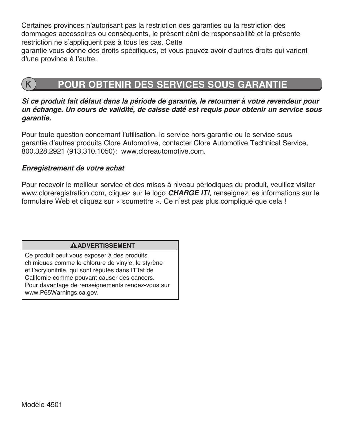Certaines provinces n'autorisant pas la restriction des garanties ou la restriction des dommages accessoires ou conséquents, le présent déni de responsabilité et la présente restriction ne s'appliquent pas à tous les cas. Cette

garantie vous donne des droits spécifiques, et vous pouvez avoir d'autres droits qui varient d'une province à l'autre.

## **POUR OBTENIR DES SERVICES SOUS GARANTIE**

#### **Si ce produit fait défaut dans la période de garantie, le retourner à votre revendeur pour un échange. Un cours de validité, de caisse daté est requis pour obtenir un service sous garantie.**

Pour toute question concernant l'utilisation, le service hors garantie ou le service sous garantie d'autres produits Clore Automotive, contacter Clore Automotive Technical Service, 800.328.2921 (913.310.1050); www.cloreautomotive.com.

#### **Enregistrement de votre achat**

Pour recevoir le meilleur service et des mises à niveau périodiques du produit, veuillez visiter www.cloreregistration.com, cliquez sur le logo **CHARGE IT!**, renseignez les informations sur le formulaire Web et cliquez sur « soumettre ». Ce n'est pas plus compliqué que cela !

#### **ADVERTISSEMENT**

Ce produit peut vous exposer à des produits chimiques comme le chlorure de vinyle, le styrène et l'acrylonitrile, qui sont réputés dans l'Etat de Californie comme pouvant causer des cancers. Pour davantage de renseignements rendez-vous sur www.P65Warnings.ca.gov.